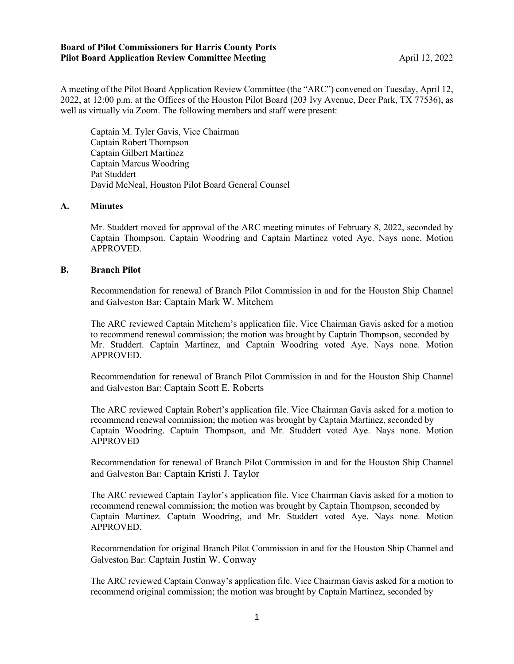## **Board of Pilot Commissioners for Harris County Ports Pilot Board Application Review Committee Meeting Application April 12, 2022**

A meeting of the Pilot Board Application Review Committee (the "ARC") convened on Tuesday, April 12, 2022, at 12:00 p.m. at the Offices of the Houston Pilot Board (203 Ivy Avenue, Deer Park, TX 77536), as well as virtually via Zoom. The following members and staff were present:

Captain M. Tyler Gavis, Vice Chairman Captain Robert Thompson Captain Gilbert Martinez Captain Marcus Woodring Pat Studdert David McNeal, Houston Pilot Board General Counsel

## **A. Minutes**

Mr. Studdert moved for approval of the ARC meeting minutes of February 8, 2022, seconded by Captain Thompson. Captain Woodring and Captain Martinez voted Aye. Nays none. Motion APPROVED.

## **B. Branch Pilot**

Recommendation for renewal of Branch Pilot Commission in and for the Houston Ship Channel and Galveston Bar: Captain Mark W. Mitchem

The ARC reviewed Captain Mitchem's application file. Vice Chairman Gavis asked for a motion to recommend renewal commission; the motion was brought by Captain Thompson, seconded by Mr. Studdert. Captain Martinez, and Captain Woodring voted Aye. Nays none. Motion APPROVED.

Recommendation for renewal of Branch Pilot Commission in and for the Houston Ship Channel and Galveston Bar: Captain Scott E. Roberts

The ARC reviewed Captain Robert's application file. Vice Chairman Gavis asked for a motion to recommend renewal commission; the motion was brought by Captain Martinez, seconded by Captain Woodring. Captain Thompson, and Mr. Studdert voted Aye. Nays none. Motion APPROVED

Recommendation for renewal of Branch Pilot Commission in and for the Houston Ship Channel and Galveston Bar: Captain Kristi J. Taylor

The ARC reviewed Captain Taylor's application file. Vice Chairman Gavis asked for a motion to recommend renewal commission; the motion was brought by Captain Thompson, seconded by Captain Martinez. Captain Woodring, and Mr. Studdert voted Aye. Nays none. Motion APPROVED.

Recommendation for original Branch Pilot Commission in and for the Houston Ship Channel and Galveston Bar: Captain Justin W. Conway

The ARC reviewed Captain Conway's application file. Vice Chairman Gavis asked for a motion to recommend original commission; the motion was brought by Captain Martinez, seconded by